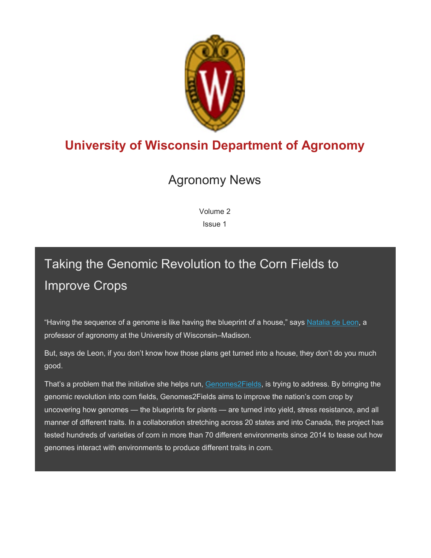

## **University of Wisconsin Department of Agronomy**

## Agronomy News

Volume 2

Issue 1

# Taking the Genomic Revolution to the Corn Fields to Improve Crops

"Having the sequence of a genome is like having the blueprint of a house," says [Natalia de Leon,](http://cornbreeding.wisc.edu/staff/project-leader/) a professor of agronomy at the University of Wisconsin–Madison.

But, says de Leon, if you don't know how those plans get turned into a house, they don't do you much good.

That's a problem that the initiative she helps run, [Genomes2Fields,](http://www.genomes2fields.org/) is trying to address. By bringing the genomic revolution into corn fields, Genomes2Fields aims to improve the nation's corn crop by uncovering how genomes — the blueprints for plants — are turned into yield, stress resistance, and all manner of different traits. In a collaboration stretching across 20 states and into Canada, the project has tested hundreds of varieties of corn in more than 70 different environments since 2014 to tease out how genomes interact with environments to produce different traits in corn.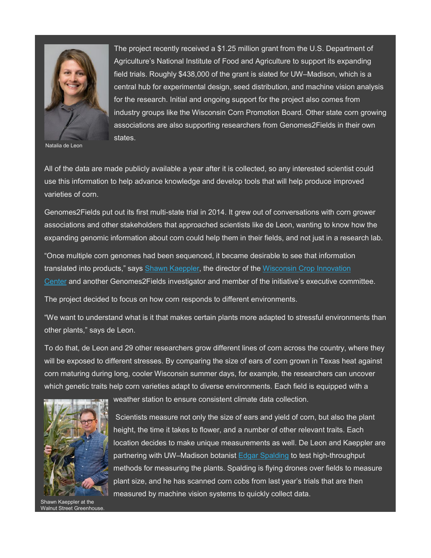

Natalia de Leon

The project recently received a \$1.25 million grant from the U.S. Department of Agriculture's National Institute of Food and Agriculture to support its expanding field trials. Roughly \$438,000 of the grant is slated for UW–Madison, which is a central hub for experimental design, seed distribution, and machine vision analysis for the research. Initial and ongoing support for the project also comes from industry groups like the Wisconsin Corn Promotion Board. Other state corn growing associations are also supporting researchers from Genomes2Fields in their own states.

All of the data are made publicly available a year after it is collected, so any interested scientist could use this information to help advance knowledge and develop tools that will help produce improved varieties of corn.

Genomes2Fields put out its first multi-state trial in 2014. It grew out of conversations with corn grower associations and other stakeholders that approached scientists like de Leon, wanting to know how the expanding genomic information about corn could help them in their fields, and not just in a research lab.

"Once multiple corn genomes had been sequenced, it became desirable to see that information translated into products," says [Shawn Kaeppler,](https://experts.news.wisc.edu/experts/shawn-kaeppler) the director of the [Wisconsin Crop Innovation](https://cropinnovation.cals.wisc.edu/)  [Center](https://cropinnovation.cals.wisc.edu/) and another Genomes2Fields investigator and member of the initiative's executive committee.

The project decided to focus on how corn responds to different environments.

"We want to understand what is it that makes certain plants more adapted to stressful environments than other plants," says de Leon.

To do that, de Leon and 29 other researchers grow different lines of corn across the country, where they will be exposed to different stresses. By comparing the size of ears of corn grown in Texas heat against corn maturing during long, cooler Wisconsin summer days, for example, the researchers can uncover which genetic traits help corn varieties adapt to diverse environments. Each field is equipped with a



Shawn Kaeppler at the Walnut Street Greenhouse

weather station to ensure consistent climate data collection.

Scientists measure not only the size of ears and yield of corn, but also the plant height, the time it takes to flower, and a number of other relevant traits. Each location decides to make unique measurements as well. De Leon and Kaeppler are partnering with UW–Madison botanist **[Edgar Spalding](http://www.botany.wisc.edu/spalding.htm) to test high-throughput** methods for measuring the plants. Spalding is flying drones over fields to measure plant size, and he has scanned corn cobs from last year's trials that are then measured by machine vision systems to quickly collect data.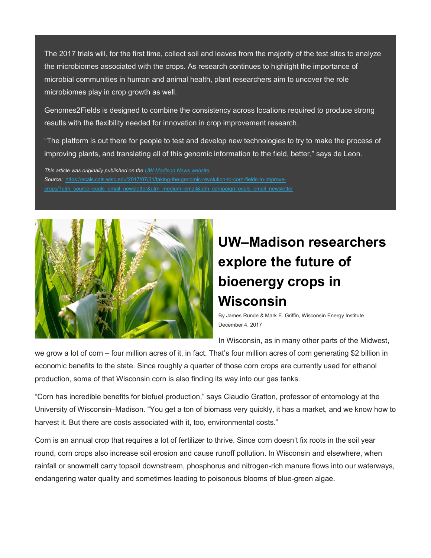The 2017 trials will, for the first time, collect soil and leaves from the majority of the test sites to analyze the microbiomes associated with the crops. As research continues to highlight the importance of microbial communities in human and animal health, plant researchers aim to uncover the role microbiomes play in crop growth as well.

Genomes2Fields is designed to combine the consistency across locations required to produce strong results with the flexibility needed for innovation in crop improvement research.

"The platform is out there for people to test and develop new technologies to try to make the process of improving plants, and translating all of this genomic information to the field, better," says de Leon.

*This article was originally published on th[e UW-Madison News website.](http://news.wisc.edu/taking-the-genomic-revolution-to-corn-fields-to-improve-crops/) Source:* [https://ecals.cals.wisc.edu/2017/07/31/taking-the-genomic-revolution-to-corn-fields-to-improve](https://ecals.cals.wisc.edu/2017/07/31/taking-the-genomic-revolution-to-corn-fields-to-improve-crops/?utm_source=ecals_email_newsletter&utm_medium=email&utm_campaign=ecals_email_newsletter)[crops/?utm\\_source=ecals\\_email\\_newsletter&utm\\_medium=email&utm\\_campaign=ecals\\_email\\_newsletter](https://ecals.cals.wisc.edu/2017/07/31/taking-the-genomic-revolution-to-corn-fields-to-improve-crops/?utm_source=ecals_email_newsletter&utm_medium=email&utm_campaign=ecals_email_newsletter)



# **UW–Madison researchers explore the future of bioenergy crops in Wisconsin**

By James Runde & Mark E. Griffin, Wisconsin Energy Institute December 4, 2017

In Wisconsin, as in many other parts of the Midwest,

we grow a lot of corn – four million acres of it, in fact. That's four million acres of corn generating \$2 billion in economic benefits to the state. Since roughly a quarter of those corn crops are currently used for ethanol production, some of that Wisconsin corn is also finding its way into our gas tanks.

"Corn has incredible benefits for biofuel production," says Claudio Gratton, professor of entomology at the University of Wisconsin–Madison. "You get a ton of biomass very quickly, it has a market, and we know how to harvest it. But there are costs associated with it, too, environmental costs."

Corn is an annual crop that requires a lot of fertilizer to thrive. Since corn doesn't fix roots in the soil year round, corn crops also increase soil erosion and cause runoff pollution. In Wisconsin and elsewhere, when rainfall or snowmelt carry topsoil downstream, phosphorus and nitrogen-rich manure flows into our waterways, endangering water quality and sometimes leading to poisonous blooms of blue-green algae.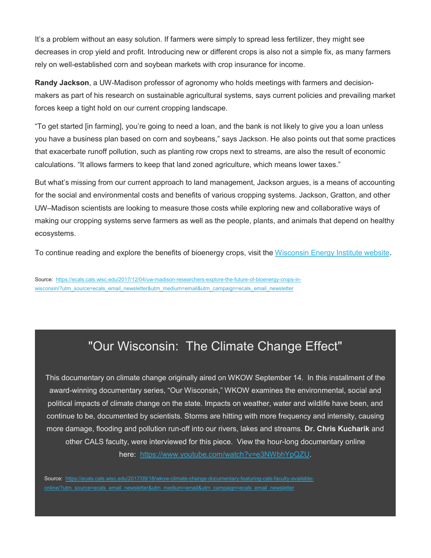It's a problem without an easy solution. If farmers were simply to spread less fertilizer, they might see decreases in crop yield and profit. Introducing new or different crops is also not a simple fix, as many farmers rely on well-established corn and soybean markets with crop insurance for income.

**Randy Jackson**, a UW-Madison professor of agronomy who holds meetings with farmers and decisionmakers as part of his research on sustainable agricultural systems, says current policies and prevailing market forces keep a tight hold on our current cropping landscape.

"To get started [in farming], you're going to need a loan, and the bank is not likely to give you a loan unless you have a business plan based on corn and soybeans," says Jackson. He also points out that some practices that exacerbate runoff pollution, such as planting row crops next to streams, are also the result of economic calculations. "It allows farmers to keep that land zoned agriculture, which means lower taxes."

But what's missing from our current approach to land management, Jackson argues, is a means of accounting for the social and environmental costs and benefits of various cropping systems. Jackson, Gratton, and other UW–Madison scientists are looking to measure those costs while exploring new and collaborative ways of making our cropping systems serve farmers as well as the people, plants, and animals that depend on healthy ecosystems.

To continue reading and explore the benefits of bioenergy crops, visit the [Wisconsin Energy Institute website.](https://energy.wisc.edu/news/uw-madison-researchers-explore-future-bioenergy-crops-wisconsin)

Source: [https://ecals.cals.wisc.edu/2017/12/04/uw-madison-researchers-explore-the-future-of-bioenergy-crops-in](https://ecals.cals.wisc.edu/2017/12/04/uw-madison-researchers-explore-the-future-of-bioenergy-crops-in-wisconsin/?utm_source=ecals_email_newsletter&utm_medium=email&utm_campaign=ecals_email_newsletter)[wisconsin/?utm\\_source=ecals\\_email\\_newsletter&utm\\_medium=email&utm\\_campaign=ecals\\_email\\_newsletter](https://ecals.cals.wisc.edu/2017/12/04/uw-madison-researchers-explore-the-future-of-bioenergy-crops-in-wisconsin/?utm_source=ecals_email_newsletter&utm_medium=email&utm_campaign=ecals_email_newsletter)

## "Our Wisconsin: The Climate Change Effect"

This documentary on climate change originally aired on WKOW September 14. In this installment of the award-winning documentary series, "Our Wisconsin," WKOW examines the environmental, social and political impacts of climate change on the state. Impacts on weather, water and wildlife have been, and continue to be, documented by scientists. Storms are hitting with more frequency and intensity, causing more damage, flooding and pollution run-off into our rivers, lakes and streams. **Dr. Chris Kucharik** and other CALS faculty, were interviewed for this piece. View the hour-long documentary online here: [https://www.youtube.com/watch?v=e3NWbhYpQZU.](https://www.youtube.com/watch?v=e3NWbhYpQZU)

Source: [https://ecals.cals.wisc.edu/2017/09/18/wkow-climate-change-documentary-featuring-cals-faculty-available](https://ecals.cals.wisc.edu/2017/09/18/wkow-climate-change-documentary-featuring-cals-faculty-available-online/?utm_source=ecals_email_newsletter&utm_medium=email&utm_campaign=ecals_email_newsletter)[online/?utm\\_source=ecals\\_email\\_newsletter&utm\\_medium=email&utm\\_campaign=ecals\\_email\\_newsletter](https://ecals.cals.wisc.edu/2017/09/18/wkow-climate-change-documentary-featuring-cals-faculty-available-online/?utm_source=ecals_email_newsletter&utm_medium=email&utm_campaign=ecals_email_newsletter)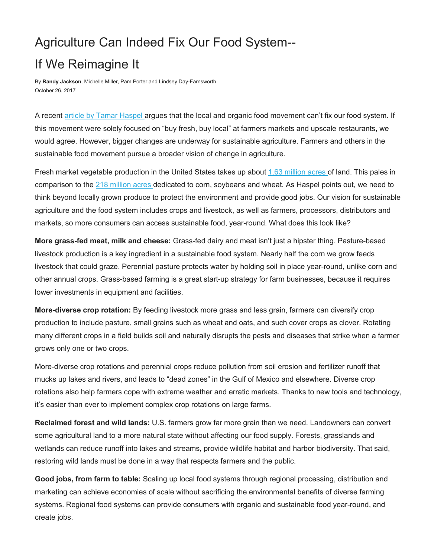# Agriculture Can Indeed Fix Our Food System-- If We Reimagine It

By **Randy Jackson**, Michelle Miller, Pam Porter and Lindsey Day-Farnsworth October 26, 2017

A recent [article by Tamar](https://www.washingtonpost.com/lifestyle/food/why-small-local-organic-farms-arent-the-key-to-fixing-our-food-system/2017/09/21/146f72b2-9e4d-11e7-8ea1-ed975285475e_story.html?utm_term=.2aaf46a4cb43) Haspel argues that the local and organic food movement can't fix our food system. If this movement were solely focused on "buy fresh, buy local" at farmers markets and upscale restaurants, we would agree. However, bigger changes are underway for sustainable agriculture. Farmers and others in the sustainable food movement pursue a broader vision of change in agriculture.

Fresh market vegetable production in the United States takes up about [1.63 million acres o](https://quickstats.nass.usda.gov/results/B97E9A44-5EF2-369B-B98C-520525EBA229?pivot=short_desc)f land. This pales in comparison to the [218 million acres d](https://www.nass.usda.gov/Newsroom/2017/06_30_2017.php)edicated to corn, soybeans and wheat. As Haspel points out, we need to think beyond locally grown produce to protect the environment and provide good jobs. Our vision for sustainable agriculture and the food system includes crops and livestock, as well as farmers, processors, distributors and markets, so more consumers can access sustainable food, year-round. What does this look like?

**More grass-fed meat, milk and cheese:** Grass-fed dairy and meat isn't just a hipster thing. Pasture-based livestock production is a key ingredient in a sustainable food system. Nearly half the corn we grow feeds livestock that could graze. Perennial pasture protects water by holding soil in place year-round, unlike corn and other annual crops. Grass-based farming is a great start-up strategy for farm businesses, because it requires lower investments in equipment and facilities.

**More-diverse crop rotation:** By feeding livestock more grass and less grain, farmers can diversify crop production to include pasture, small grains such as wheat and oats, and such cover crops as clover. Rotating many different crops in a field builds soil and naturally disrupts the pests and diseases that strike when a farmer grows only one or two crops.

More-diverse crop rotations and perennial crops reduce pollution from soil erosion and fertilizer runoff that mucks up lakes and rivers, and leads to "dead zones" in the Gulf of Mexico and elsewhere. Diverse crop rotations also help farmers cope with extreme weather and erratic markets. Thanks to new tools and technology, it's easier than ever to implement complex crop rotations on large farms.

**Reclaimed forest and wild lands:** U.S. farmers grow far more grain than we need. Landowners can convert some agricultural land to a more natural state without affecting our food supply. Forests, grasslands and wetlands can reduce runoff into lakes and streams, provide wildlife habitat and harbor biodiversity. That said, restoring wild lands must be done in a way that respects farmers and the public.

**Good jobs, from farm to table:** Scaling up local food systems through regional processing, distribution and marketing can achieve economies of scale without sacrificing the environmental benefits of diverse farming systems. Regional food systems can provide consumers with organic and sustainable food year-round, and create jobs.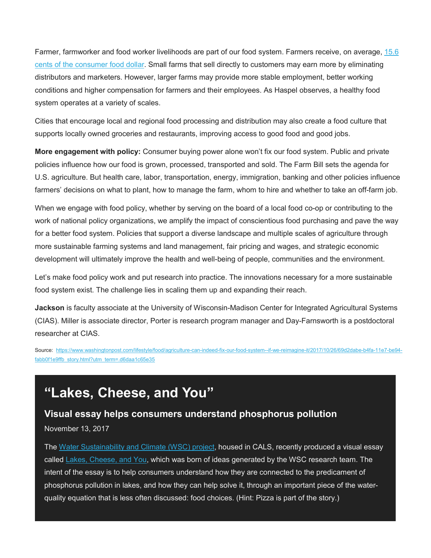Farmer, farmworker and food worker livelihoods are part of our food system. Farmers receive, on average, [15.6](https://www.ers.usda.gov/data-products/food-dollar-series/documentation.aspx)  [cents of the consumer food dollar.](https://www.ers.usda.gov/data-products/food-dollar-series/documentation.aspx) Small farms that sell directly to customers may earn more by eliminating distributors and marketers. However, larger farms may provide more stable employment, better working conditions and higher compensation for farmers and their employees. As Haspel observes, a healthy food system operates at a variety of scales.

Cities that encourage local and regional food processing and distribution may also create a food culture that supports locally owned groceries and restaurants, improving access to good food and good jobs.

**More engagement with policy:** Consumer buying power alone won't fix our food system. Public and private policies influence how our food is grown, processed, transported and sold. The Farm Bill sets the agenda for U.S. agriculture. But health care, labor, transportation, energy, immigration, banking and other policies influence farmers' decisions on what to plant, how to manage the farm, whom to hire and whether to take an off-farm job.

When we engage with food policy, whether by serving on the board of a local food co-op or contributing to the work of national policy organizations, we amplify the impact of conscientious food purchasing and pave the way for a better food system. Policies that support a diverse landscape and multiple scales of agriculture through more sustainable farming systems and land management, fair pricing and wages, and strategic economic development will ultimately improve the health and well-being of people, communities and the environment.

Let's make food policy work and put research into practice. The innovations necessary for a more sustainable food system exist. The challenge lies in scaling them up and expanding their reach.

**Jackson** is faculty associate at the University of Wisconsin-Madison Center for Integrated Agricultural Systems (CIAS). Miller is associate director, Porter is research program manager and Day-Farnsworth is a postdoctoral researcher at CIAS.

Source: [https://www.washingtonpost.com/lifestyle/food/agriculture-can-indeed-fix-our-food-system--if-we-reimagine-it/2017/10/26/69d2dabe-b4fa-11e7-be94](https://www.washingtonpost.com/lifestyle/food/agriculture-can-indeed-fix-our-food-system--if-we-reimagine-it/2017/10/26/69d2dabe-b4fa-11e7-be94-fabb0f1e9ffb_story.html?utm_term=.d6daa1c65e35) [fabb0f1e9ffb\\_story.html?utm\\_term=.d6daa1c65e35](https://www.washingtonpost.com/lifestyle/food/agriculture-can-indeed-fix-our-food-system--if-we-reimagine-it/2017/10/26/69d2dabe-b4fa-11e7-be94-fabb0f1e9ffb_story.html?utm_term=.d6daa1c65e35)

## **"Lakes, Cheese, and You"**

### **Visual essay helps consumers understand phosphorus pollution**

November 13, 2017

The [Water Sustainability and Climate \(WSC\) project,](https://wsc.limnology.wisc.edu/) housed in CALS, recently produced a visual essay called [Lakes, Cheese, and You,](https://uw-mad.maps.arcgis.com/apps/Cascade/index.html?appid=1be311f0fa19440a9360a3c55db26f57) which was born of ideas generated by the WSC research team. The intent of the essay is to help consumers understand how they are connected to the predicament of phosphorus pollution in lakes, and how they can help solve it, through an important piece of the waterquality equation that is less often discussed: food choices. (Hint: Pizza is part of the story.)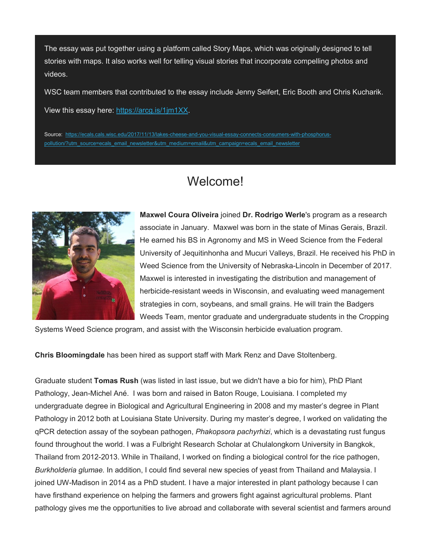The essay was put together using a platform called Story Maps, which was originally designed to tell stories with maps. It also works well for telling visual stories that incorporate compelling photos and videos.

WSC team members that contributed to the essay include Jenny Seifert, Eric Booth and Chris Kucharik. View this essay here: [https://arcg.is/1jm1XX.](https://arcg.is/1jm1XX)

Source: [https://ecals.cals.wisc.edu/2017/11/13/lakes-cheese-and-you-visual-essay-connects-consumers-with-phosphorus](https://ecals.cals.wisc.edu/2017/11/13/lakes-cheese-and-you-visual-essay-connects-consumers-with-phosphorus-pollution/?utm_source=ecals_email_newsletter&utm_medium=email&utm_campaign=ecals_email_newsletter)[pollution/?utm\\_source=ecals\\_email\\_newsletter&utm\\_medium=email&utm\\_campaign=ecals\\_email\\_newsletter](https://ecals.cals.wisc.edu/2017/11/13/lakes-cheese-and-you-visual-essay-connects-consumers-with-phosphorus-pollution/?utm_source=ecals_email_newsletter&utm_medium=email&utm_campaign=ecals_email_newsletter)

## Welcome!



**Maxwel Coura Oliveira** joined **Dr. Rodrigo Werle**'s program as a research associate in January. Maxwel was born in the state of Minas Gerais, Brazil. He earned his BS in Agronomy and MS in Weed Science from the Federal University of Jequitinhonha and Mucuri Valleys, Brazil. He received his PhD in Weed Science from the University of Nebraska-Lincoln in December of 2017. Maxwel is interested in investigating the distribution and management of herbicide-resistant weeds in Wisconsin, and evaluating weed management strategies in corn, soybeans, and small grains. He will train the Badgers Weeds Team, mentor graduate and undergraduate students in the Cropping

Systems Weed Science program, and assist with the Wisconsin herbicide evaluation program.

**Chris Bloomingdale** has been hired as support staff with Mark Renz and Dave Stoltenberg.

Graduate student **Tomas Rush** (was listed in last issue, but we didn't have a bio for him), PhD Plant Pathology, Jean-Michel Ané. I was born and raised in Baton Rouge, Louisiana. I completed my undergraduate degree in Biological and Agricultural Engineering in 2008 and my master's degree in Plant Pathology in 2012 both at Louisiana State University. During my master's degree, I worked on validating the qPCR detection assay of the soybean pathogen, *Phakopsora pachyrhizi*, which is a devastating rust fungus found throughout the world. I was a Fulbright Research Scholar at Chulalongkorn University in Bangkok, Thailand from 2012-2013. While in Thailand, I worked on finding a biological control for the rice pathogen, *Burkholderia glumae.* In addition, I could find several new species of yeast from Thailand and Malaysia. I joined UW-Madison in 2014 as a PhD student. I have a major interested in plant pathology because I can have firsthand experience on helping the farmers and growers fight against agricultural problems. Plant pathology gives me the opportunities to live abroad and collaborate with several scientist and farmers around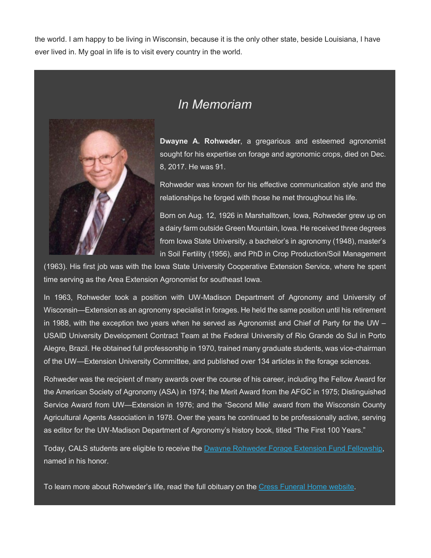the world. I am happy to be living in Wisconsin, because it is the only other state, beside Louisiana, I have ever lived in. My goal in life is to visit every country in the world.



## *In Memoriam*

**Dwayne A. Rohweder**, a gregarious and esteemed agronomist sought for his expertise on forage and agronomic crops, died on Dec. 8, 2017. He was 91.

Rohweder was known for his effective communication style and the relationships he forged with those he met throughout his life.

Born on Aug. 12, 1926 in Marshalltown, Iowa, Rohweder grew up on a dairy farm outside Green Mountain, Iowa. He received three degrees from Iowa State University, a bachelor's in agronomy (1948), master's in Soil Fertility (1956), and PhD in Crop Production/Soil Management

(1963). His first job was with the Iowa State University Cooperative Extension Service, where he spent time serving as the Area Extension Agronomist for southeast Iowa.

In 1963, Rohweder took a position with UW-Madison Department of Agronomy and University of Wisconsin—Extension as an agronomy specialist in forages. He held the same position until his retirement in 1988, with the exception two years when he served as Agronomist and Chief of Party for the UW – USAID University Development Contract Team at the Federal University of Rio Grande do Sul in Porto Alegre, Brazil. He obtained full professorship in 1970, trained many graduate students, was vice-chairman of the UW—Extension University Committee, and published over 134 articles in the forage sciences.

Rohweder was the recipient of many awards over the course of his career, including the Fellow Award for the American Society of Agronomy (ASA) in 1974; the Merit Award from the AFGC in 1975; Distinguished Service Award from UW—Extension in 1976; and the "Second Mile' award from the Wisconsin County Agricultural Agents Association in 1978. Over the years he continued to be professionally active, serving as editor for the UW-Madison Department of Agronomy's history book, titled "The First 100 Years."

Today, CALS students are eligible to receive the [Dwayne Rohweder Forage Extension Fund Fellowship,](http://scholarships.wisc.edu/Scholarships/schlrDetails;jsessionid=zMfTQmkc2pYGTqDNp8BVHT1YshYPSh1NxJhT3plM0LJpxG2gyKvQ!-49425098?scholId=1027) named in his honor.

To learn more about Rohweder's life, read the full obituary on the [Cress Funeral Home website.](http://www.cressfuneralservice.com/obituary/228553/Dwayne-Rohweder/#obituary)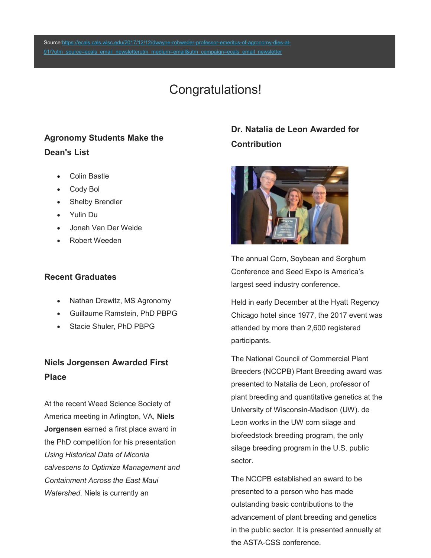#### Sourc[e:https://ecals.cals.wisc.edu/2017/12/12/dwayne-rohweder-professor-emeritus-of-agronomy-dies-at-](https://ecals.cals.wisc.edu/2017/12/12/dwayne-rohweder-professor-emeritus-of-agronomy-dies-at-91/?utm_source=ecals_email_newsletter&utm_medium=email&utm_campaign=ecals_email_newsletter)[91/?utm\\_source=ecals\\_email\\_newsletterutm\\_medium=email&utm\\_campaign=ecals\\_email\\_newsletter](https://ecals.cals.wisc.edu/2017/12/12/dwayne-rohweder-professor-emeritus-of-agronomy-dies-at-91/?utm_source=ecals_email_newsletter&utm_medium=email&utm_campaign=ecals_email_newsletter)

## Congratulations!

### **Agronomy Students Make the Dean's List**

- Colin Bastle
- Cody Bol
- Shelby Brendler
- Yulin Du
- Jonah Van Der Weide
- Robert Weeden

### **Recent Graduates**

- Nathan Drewitz, MS Agronomy
- Guillaume Ramstein, PhD PBPG
- Stacie Shuler, PhD PBPG

### **Niels Jorgensen Awarded First Place**

At the recent Weed Science Society of America meeting in Arlington, VA, **Niels Jorgensen** earned a first place award in the PhD competition for his presentation *Using Historical Data of Miconia calvescens to Optimize Management and Containment Across the East Maui Watershed*. Niels is currently an

### **Dr. Natalia de Leon Awarded for Contribution**



The annual Corn, Soybean and Sorghum Conference and Seed Expo is America's largest seed industry conference.

Held in early December at the Hyatt Regency Chicago hotel since 1977, the 2017 event was attended by more than 2,600 registered participants.

The National Council of Commercial Plant Breeders (NCCPB) Plant Breeding award was presented to Natalia de Leon, professor of plant breeding and quantitative genetics at the University of Wisconsin-Madison (UW). de Leon works in the UW corn silage and biofeedstock breeding program, the only silage breeding program in the U.S. public sector.

The NCCPB established an award to be presented to a person who has made outstanding basic contributions to the advancement of plant breeding and genetics in the public sector. It is presented annually at the ASTA-CSS conference.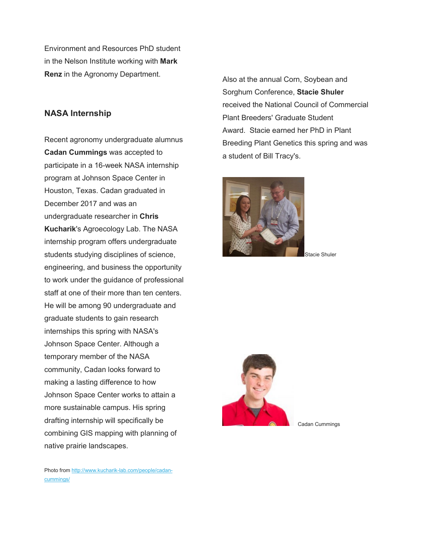Environment and Resources PhD student in the Nelson Institute working with **Mark Renz** in the Agronomy Department.

### **NASA Internship**

Recent agronomy undergraduate alumnus **Cadan Cummings** was accepted to participate in a 16-week NASA internship program at Johnson Space Center in Houston, Texas. Cadan graduated in December 2017 and was an undergraduate researcher in **Chris Kucharik**'s Agroecology Lab. The NASA internship program offers undergraduate students studying disciplines of science, engineering, and business the opportunity to work under the guidance of professional staff at one of their more than ten centers. He will be among 90 undergraduate and graduate students to gain research internships this spring with NASA's Johnson Space Center. Although a temporary member of the NASA community, Cadan looks forward to making a lasting difference to how Johnson Space Center works to attain a more sustainable campus. His spring drafting internship will specifically be combining GIS mapping with planning of native prairie landscapes.

Photo from [http://www.kucharik-lab.com/people/cadan](http://www.kucharik-lab.com/people/cadan-cummings/)[cummings/](http://www.kucharik-lab.com/people/cadan-cummings/)

Also at the annual Corn, Soybean and Sorghum Conference, **Stacie Shuler** received the National Council of Commercial Plant Breeders' Graduate Student Award. Stacie earned her PhD in Plant Breeding Plant Genetics this spring and was a student of Bill Tracy's.



Stacie Shuler



Cadan Cummings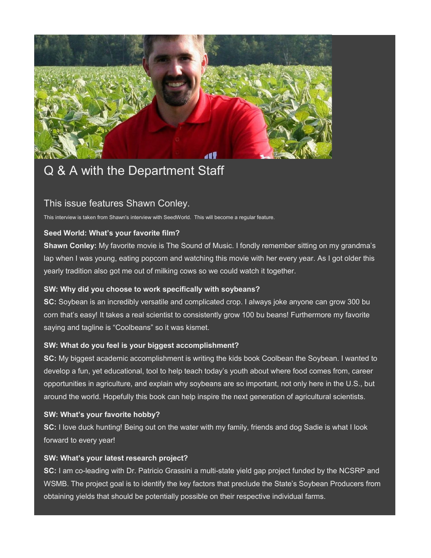

## Q & A with the Department Staff

### This issue features Shawn Conley.

This interview is taken from Shawn's interview with SeedWorld. This will become a regular feature.

### **Seed World: What's your favorite film?**

**Shawn Conley:** My favorite movie is The Sound of Music. I fondly remember sitting on my grandma's lap when I was young, eating popcorn and watching this movie with her every year. As I got older this yearly tradition also got me out of milking cows so we could watch it together.

### **SW: Why did you choose to work specifically with soybeans?**

**SC:** Soybean is an incredibly versatile and complicated crop. I always joke anyone can grow 300 bu corn that's easy! It takes a real scientist to consistently grow 100 bu beans! Furthermore my favorite saying and tagline is "Coolbeans" so it was kismet.

### **SW: What do you feel is your biggest accomplishment?**

**SC:** My biggest academic accomplishment is writing the kids book Coolbean the Soybean. I wanted to develop a fun, yet educational, tool to help teach today's youth about where food comes from, career opportunities in agriculture, and explain why soybeans are so important, not only here in the U.S., but around the world. Hopefully this book can help inspire the next generation of agricultural scientists.

### **SW: What's your favorite hobby?**

**SC:** I love duck hunting! Being out on the water with my family, friends and dog Sadie is what I look forward to every year!

### **SW: What's your latest research project?**

**SC:** I am co-leading with Dr. Patricio Grassini a multi-state yield gap project funded by the NCSRP and WSMB. The project goal is to identify the key factors that preclude the State's Soybean Producers from obtaining yields that should be potentially possible on their respective individual farms.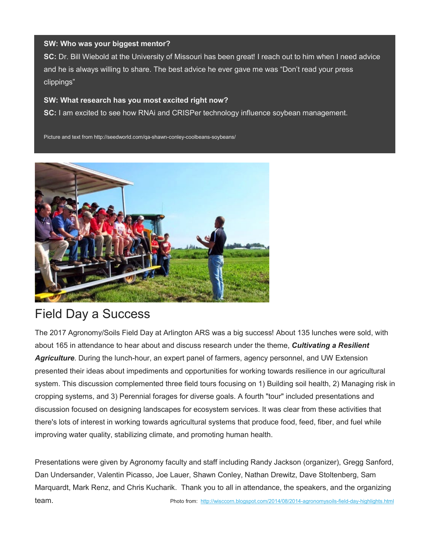#### **SW: Who was your biggest mentor?**

**SC:** Dr. Bill Wiebold at the University of Missouri has been great! I reach out to him when I need advice and he is always willing to share. The best advice he ever gave me was "Don't read your press clippings"

#### **SW: What research has you most excited right now?**

**SC:** I am excited to see how RNAi and CRISPer technology influence soybean management.

Picture and text from http://seedworld.com/qa-shawn-conley-coolbeans-soybeans/



## Field Day a Success

The 2017 Agronomy/Soils Field Day at Arlington ARS was a big success! About 135 lunches were sold, with about 165 in attendance to hear about and discuss research under the theme, *Cultivating a Resilient Agriculture*. During the lunch-hour, an expert panel of farmers, agency personnel, and UW Extension presented their ideas about impediments and opportunities for working towards resilience in our agricultural system. This discussion complemented three field tours focusing on 1) Building soil health, 2) Managing risk in cropping systems, and 3) Perennial forages for diverse goals. A fourth "tour" included presentations and discussion focused on designing landscapes for ecosystem services. It was clear from these activities that there's lots of interest in working towards agricultural systems that produce food, feed, fiber, and fuel while improving water quality, stabilizing climate, and promoting human health.

Presentations were given by Agronomy faculty and staff including Randy Jackson (organizer), Gregg Sanford, Dan Undersander, Valentin Picasso, Joe Lauer, Shawn Conley, Nathan Drewitz, Dave Stoltenberg, Sam Marquardt, Mark Renz, and Chris Kucharik. Thank you to all in attendance, the speakers, and the organizing team. **Photo from:** <http://wisccorn.blogspot.com/2014/08/2014-agronomysoils-field-day-highlights.html>